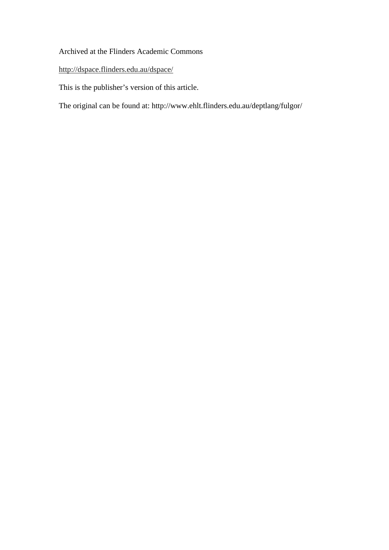### Archived at the Flinders Academic Commons

### http://dspace.flinders.edu.au/dspace/

This is the publisher's version of this article.

The original can be found at: http://www.ehlt.flinders.edu.au/deptlang/fulgor/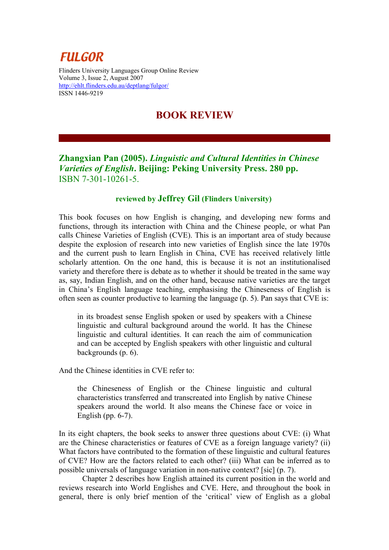# **FULGOR**

Flinders University Languages Group Online Review Volume 3, Issue 2, August 2007 <http://ehlt.flinders.edu.au/deptlang/fulgor/> ISSN 1446-9219

## **BOOK REVIEW**

### **Zhangxian Pan (2005).** *Linguistic and Cultural Identities in Chinese Varieties of English***. Beijing: Peking University Press. 280 pp.**  ISBN 7-301-10261-5.

#### **reviewed by Jeffrey Gil (Flinders University)**

This book focuses on how English is changing, and developing new forms and functions, through its interaction with China and the Chinese people, or what Pan calls Chinese Varieties of English (CVE). This is an important area of study because despite the explosion of research into new varieties of English since the late 1970s and the current push to learn English in China, CVE has received relatively little scholarly attention. On the one hand, this is because it is not an institutionalised variety and therefore there is debate as to whether it should be treated in the same way as, say, Indian English, and on the other hand, because native varieties are the target in China's English language teaching, emphasising the Chineseness of English is often seen as counter productive to learning the language (p. 5). Pan says that CVE is:

in its broadest sense English spoken or used by speakers with a Chinese linguistic and cultural background around the world. It has the Chinese linguistic and cultural identities. It can reach the aim of communication and can be accepted by English speakers with other linguistic and cultural backgrounds (p. 6).

And the Chinese identities in CVE refer to:

the Chineseness of English or the Chinese linguistic and cultural characteristics transferred and transcreated into English by native Chinese speakers around the world. It also means the Chinese face or voice in English (pp. 6-7).

In its eight chapters, the book seeks to answer three questions about CVE: (i) What are the Chinese characteristics or features of CVE as a foreign language variety? (ii) What factors have contributed to the formation of these linguistic and cultural features of CVE? How are the factors related to each other? (iii) What can be inferred as to possible universals of language variation in non-native context? [sic] (p. 7).

Chapter 2 describes how English attained its current position in the world and reviews research into World Englishes and CVE. Here, and throughout the book in general, there is only brief mention of the 'critical' view of English as a global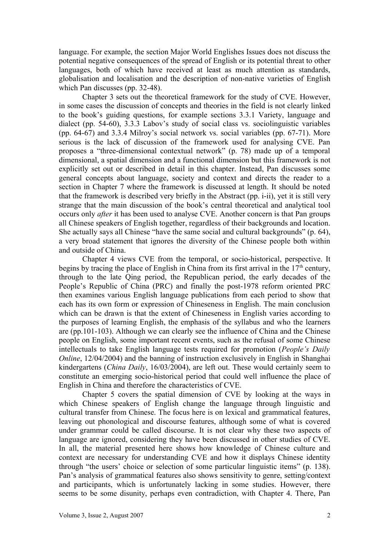language. For example, the section Major World Englishes Issues does not discuss the potential negative consequences of the spread of English or its potential threat to other languages, both of which have received at least as much attention as standards, globalisation and localisation and the description of non-native varieties of English which Pan discusses (pp. 32-48).

Chapter 3 sets out the theoretical framework for the study of CVE. However, in some cases the discussion of concepts and theories in the field is not clearly linked to the book's guiding questions, for example sections 3.3.1 Variety, language and dialect (pp. 54-60), 3.3.3 Labov's study of social class vs. sociolinguistic variables (pp. 64-67) and 3.3.4 Milroy's social network vs. social variables (pp. 67-71). More serious is the lack of discussion of the framework used for analysing CVE. Pan proposes a "three-dimensional contextual network" (p. 78) made up of a temporal dimensional, a spatial dimension and a functional dimension but this framework is not explicitly set out or described in detail in this chapter. Instead, Pan discusses some general concepts about language, society and context and directs the reader to a section in Chapter 7 where the framework is discussed at length. It should be noted that the framework is described very briefly in the Abstract (pp. i-ii), yet it is still very strange that the main discussion of the book's central theoretical and analytical tool occurs only *after* it has been used to analyse CVE. Another concern is that Pan groups all Chinese speakers of English together, regardless of their backgrounds and location. She actually says all Chinese "have the same social and cultural backgrounds" (p. 64), a very broad statement that ignores the diversity of the Chinese people both within and outside of China.

Chapter 4 views CVE from the temporal, or socio-historical, perspective. It begins by tracing the place of English in China from its first arrival in the  $17<sup>th</sup>$  century, through to the late Qing period, the Republican period, the early decades of the People's Republic of China (PRC) and finally the post-1978 reform oriented PRC then examines various English language publications from each period to show that each has its own form or expression of Chineseness in English. The main conclusion which can be drawn is that the extent of Chineseness in English varies according to the purposes of learning English, the emphasis of the syllabus and who the learners are (pp.101-103). Although we can clearly see the influence of China and the Chinese people on English, some important recent events, such as the refusal of some Chinese intellectuals to take English language tests required for promotion (*People's Daily Online*, 12/04/2004) and the banning of instruction exclusively in English in Shanghai kindergartens (*China Daily*, 16/03/2004), are left out. These would certainly seem to constitute an emerging socio-historical period that could well influence the place of English in China and therefore the characteristics of CVE.

Chapter 5 covers the spatial dimension of CVE by looking at the ways in which Chinese speakers of English change the language through linguistic and cultural transfer from Chinese. The focus here is on lexical and grammatical features, leaving out phonological and discourse features, although some of what is covered under grammar could be called discourse. It is not clear why these two aspects of language are ignored, considering they have been discussed in other studies of CVE. In all, the material presented here shows how knowledge of Chinese culture and context are necessary for understanding CVE and how it displays Chinese identity through "the users' choice or selection of some particular linguistic items" (p. 138). Pan's analysis of grammatical features also shows sensitivity to genre, setting/context and participants, which is unfortunately lacking in some studies. However, there seems to be some disunity, perhaps even contradiction, with Chapter 4. There, Pan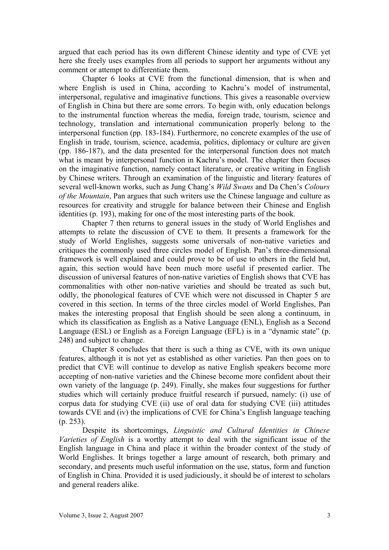argued that each period has its own different Chinese identity and type of CVE yet here she freely uses examples from all periods to support her arguments without any comment or attempt to differentiate them.

Chapter 6 looks at CVE from the functional dimension, that is when and where English is used in China, according to Kachru's model of instrumental, interpersonal, regulative and imaginative functions. This gives a reasonable overview of English in China but there are some errors. To begin with, only education belongs to the instrumental function whereas the media, foreign trade, tourism, science and technology, translation and international communication properly belong to the interpersonal function (pp. 183-184). Furthermore, no concrete examples of the use of English in trade, tourism, science, academia, politics, diplomacy or culture are given (pp. 186-187), and the data presented for the interpersonal function does not match what is meant by interpersonal function in Kachru's model. The chapter then focuses on the imaginative function, namely contact literature, or creative writing in English by Chinese writers. Through an examination of the linguistic and literary features of several well-known works, such as Jung Chang's *Wild Swans* and Da Chen's *Colours of the Mountain*, Pan argues that such writers use the Chinese language and culture as resources for creativity and struggle for balance between their Chinese and English identities (p. 193), making for one of the most interesting parts of the book.

Chapter 7 then returns to general issues in the study of World Englishes and attempts to relate the discussion of CVE to them. It presents a framework for the study of World Englishes, suggests some universals of non-native varieties and critiques the commonly used three circles model of English. Pan's three-dimensional framework is well explained and could prove to be of use to others in the field but, again, this section would have been much more useful if presented earlier. The discussion of universal features of non-native varieties of English shows that CVE has commonalities with other non-native varieties and should be treated as such but, oddly, the phonological features of CVE which were not discussed in Chapter 5 are covered in this section. In terms of the three circles model of World Englishes, Pan makes the interesting proposal that English should be seen along a continuum, in which its classification as English as a Native Language (ENL), English as a Second Language (ESL) or English as a Foreign Language (EFL) is in a "dynamic state" (p. 248) and subject to change.

Chapter 8 concludes that there is such a thing as CVE, with its own unique features, although it is not yet as established as other varieties. Pan then goes on to predict that CVE will continue to develop as native English speakers become more accepting of non-native varieties and the Chinese become more confident about their own variety of the language (p. 249). Finally, she makes four suggestions for further studies which will certainly produce fruitful research if pursued, namely: (i) use of corpus data for studying CVE (ii) use of oral data for studying CVE (iii) attitudes towards CVE and (iv) the implications of CVE for China's English language teaching (p. 253).

Despite its shortcomings, *Linguistic and Cultural Identities in Chinese Varieties of English* is a worthy attempt to deal with the significant issue of the English language in China and place it within the broader context of the study of World Englishes. It brings together a large amount of research, both primary and secondary, and presents much useful information on the use, status, form and function of English in China. Provided it is used judiciously, it should be of interest to scholars and general readers alike.